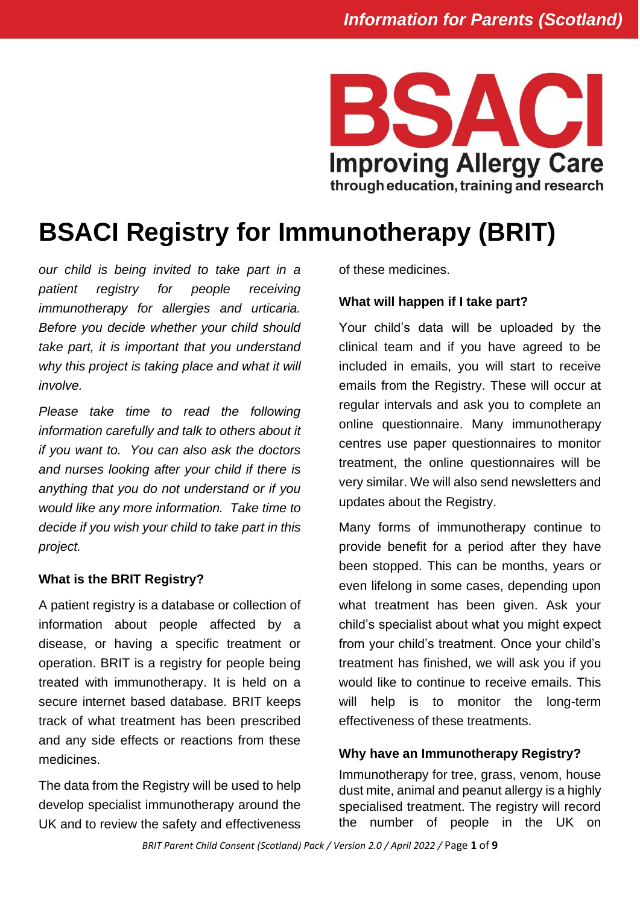

*our child is being invited to take part in a patient registry for people receiving immunotherapy for allergies and urticaria. Before you decide whether your child should take part, it is important that you understand why this project is taking place and what it will involve.* 

*Please take time to read the following information carefully and talk to others about it if you want to. You can also ask the doctors and nurses looking after your child if there is anything that you do not understand or if you would like any more information. Take time to decide if you wish your child to take part in this project.*

## **What is the BRIT Registry?**

A patient registry is a database or collection of information about people affected by a disease, or having a specific treatment or operation. BRIT is a registry for people being treated with immunotherapy. It is held on a secure internet based database. BRIT keeps track of what treatment has been prescribed and any side effects or reactions from these medicines.

The data from the Registry will be used to help develop specialist immunotherapy around the UK and to review the safety and effectiveness

of these medicines.

## **What will happen if I take part?**

Your child's data will be uploaded by the clinical team and if you have agreed to be included in emails, you will start to receive emails from the Registry. These will occur at regular intervals and ask you to complete an online questionnaire. Many immunotherapy centres use paper questionnaires to monitor treatment, the online questionnaires will be very similar. We will also send newsletters and updates about the Registry.

Many forms of immunotherapy continue to provide benefit for a period after they have been stopped. This can be months, years or even lifelong in some cases, depending upon what treatment has been given. Ask your child's specialist about what you might expect from your child's treatment. Once your child's treatment has finished, we will ask you if you would like to continue to receive emails. This will help is to monitor the long-term effectiveness of these treatments.

## **Why have an Immunotherapy Registry?**

Immunotherapy for tree, grass, venom, house dust mite, animal and peanut allergy is a highly specialised treatment. The registry will record the number of people in the UK on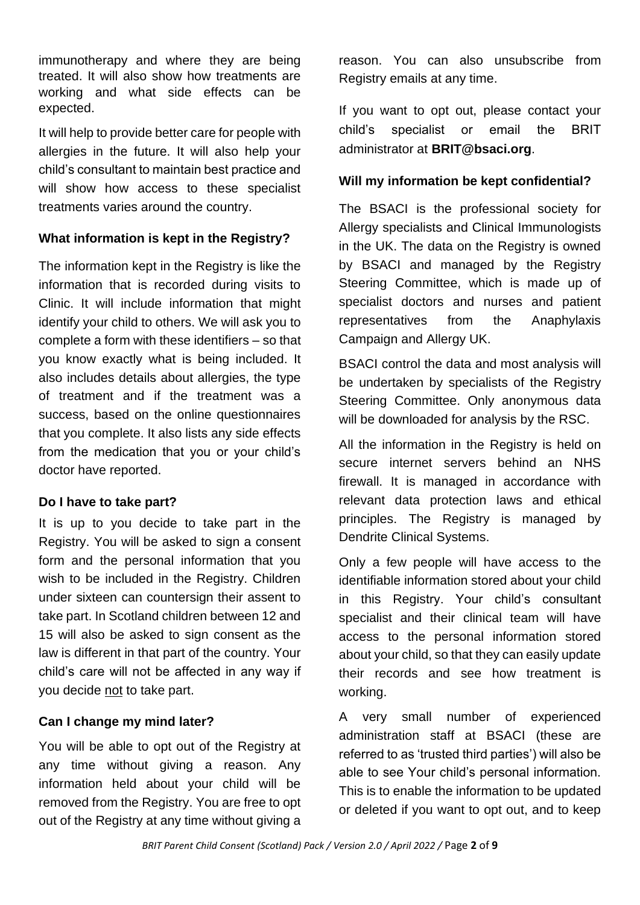immunotherapy and where they are being treated. It will also show how treatments are working and what side effects can be expected.

It will help to provide better care for people with allergies in the future. It will also help your child's consultant to maintain best practice and will show how access to these specialist treatments varies around the country.

## **What information is kept in the Registry?**

The information kept in the Registry is like the information that is recorded during visits to Clinic. It will include information that might identify your child to others. We will ask you to complete a form with these identifiers – so that you know exactly what is being included. It also includes details about allergies, the type of treatment and if the treatment was a success, based on the online questionnaires that you complete. It also lists any side effects from the medication that you or your child's doctor have reported.

## **Do I have to take part?**

It is up to you decide to take part in the Registry. You will be asked to sign a consent form and the personal information that you wish to be included in the Registry. Children under sixteen can countersign their assent to take part. In Scotland children between 12 and 15 will also be asked to sign consent as the law is different in that part of the country. Your child's care will not be affected in any way if you decide not to take part.

## **Can I change my mind later?**

You will be able to opt out of the Registry at any time without giving a reason. Any information held about your child will be removed from the Registry. You are free to opt out of the Registry at any time without giving a reason. You can also unsubscribe from Registry emails at any time.

If you want to opt out, please contact your child's specialist or email the BRIT administrator at **BRIT@bsaci.org**.

## **Will my information be kept confidential?**

The BSACI is the professional society for Allergy specialists and Clinical Immunologists in the UK. The data on the Registry is owned by BSACI and managed by the Registry Steering Committee, which is made up of specialist doctors and nurses and patient representatives from the Anaphylaxis Campaign and Allergy UK.

BSACI control the data and most analysis will be undertaken by specialists of the Registry Steering Committee. Only anonymous data will be downloaded for analysis by the RSC.

All the information in the Registry is held on secure internet servers behind an NHS firewall. It is managed in accordance with relevant data protection laws and ethical principles. The Registry is managed by Dendrite Clinical Systems.

Only a few people will have access to the identifiable information stored about your child in this Registry. Your child's consultant specialist and their clinical team will have access to the personal information stored about your child, so that they can easily update their records and see how treatment is working.

A very small number of experienced administration staff at BSACI (these are referred to as 'trusted third parties') will also be able to see Your child's personal information. This is to enable the information to be updated or deleted if you want to opt out, and to keep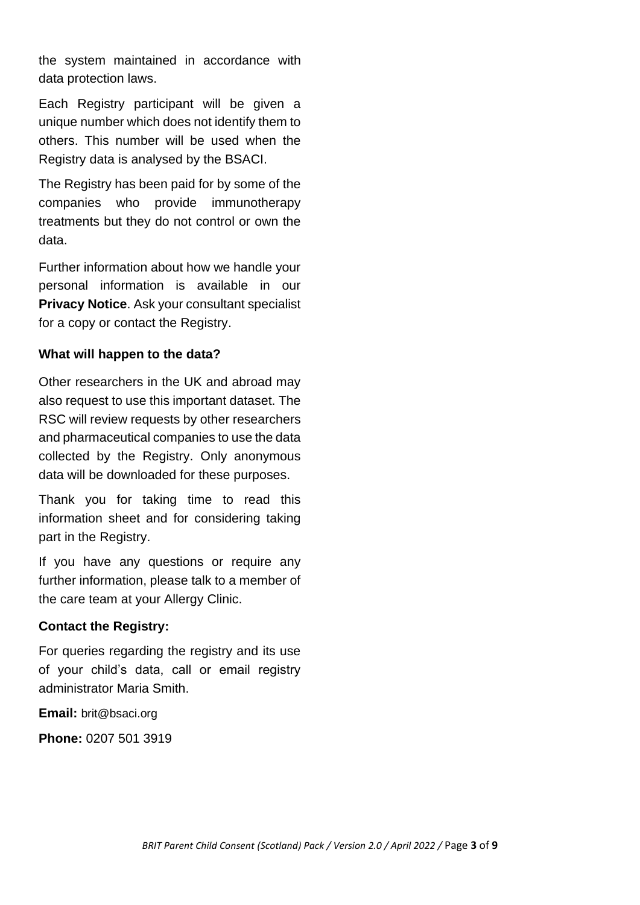the system maintained in accordance with data protection laws.

Each Registry participant will be given a unique number which does not identify them to others. This number will be used when the Registry data is analysed by the BSACI.

The Registry has been paid for by some of the companies who provide immunotherapy treatments but they do not control or own the data.

Further information about how we handle your personal information is available in our **Privacy Notice**. Ask your consultant specialist for a copy or contact the Registry.

## **What will happen to the data?**

Other researchers in the UK and abroad may also request to use this important dataset. The RSC will review requests by other researchers and pharmaceutical companies to use the data collected by the Registry. Only anonymous data will be downloaded for these purposes.

Thank you for taking time to read this information sheet and for considering taking part in the Registry.

If you have any questions or require any further information, please talk to a member of the care team at your Allergy Clinic.

### **Contact the Registry:**

For queries regarding the registry and its use of your child's data, call or email registry administrator Maria Smith.

**Email:** [brit@bsaci.org](mailto:brit@bsaci.org)

**Phone:** 0207 501 3919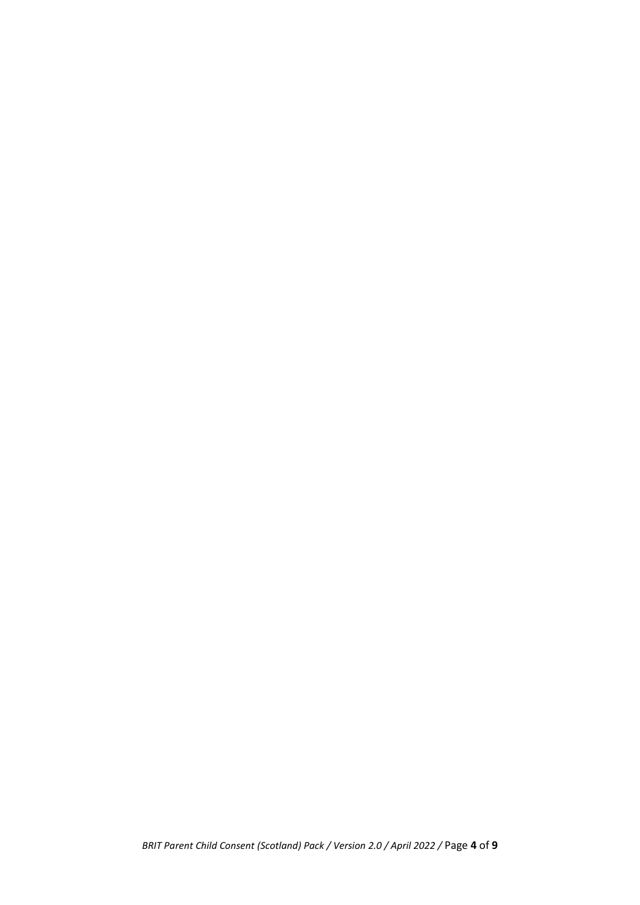*BRIT Parent Child Consent (Scotland) Pack / Version 2.0 / April 2022 /* Page **4** of **9**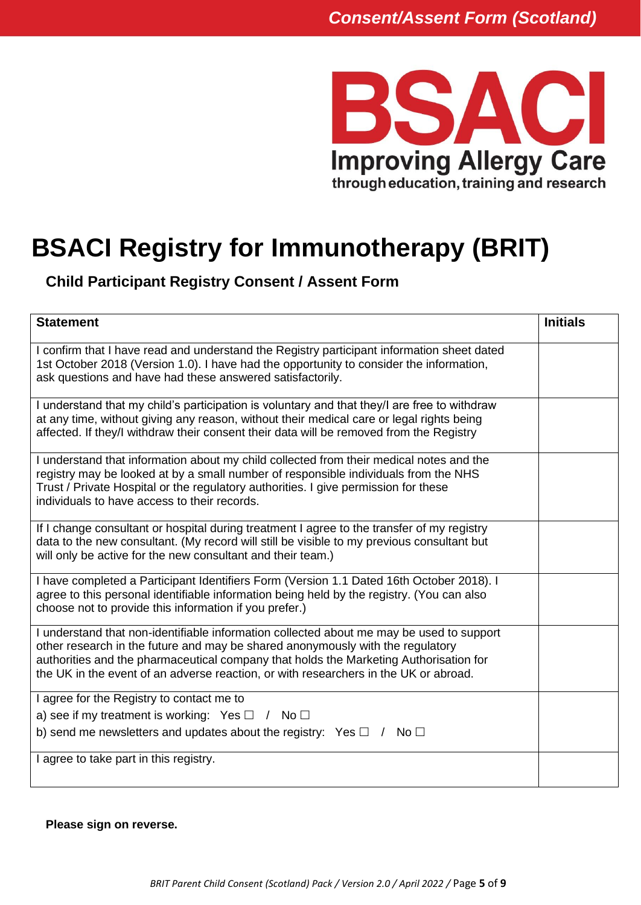

# **Child Participant Registry Consent / Assent Form**

| <b>Statement</b>                                                                                                                                                                                                                                                                                                                                            | <b>Initials</b> |
|-------------------------------------------------------------------------------------------------------------------------------------------------------------------------------------------------------------------------------------------------------------------------------------------------------------------------------------------------------------|-----------------|
| I confirm that I have read and understand the Registry participant information sheet dated<br>1st October 2018 (Version 1.0). I have had the opportunity to consider the information,<br>ask questions and have had these answered satisfactorily.                                                                                                          |                 |
| I understand that my child's participation is voluntary and that they/I are free to withdraw<br>at any time, without giving any reason, without their medical care or legal rights being<br>affected. If they/I withdraw their consent their data will be removed from the Registry                                                                         |                 |
| I understand that information about my child collected from their medical notes and the<br>registry may be looked at by a small number of responsible individuals from the NHS<br>Trust / Private Hospital or the regulatory authorities. I give permission for these<br>individuals to have access to their records.                                       |                 |
| If I change consultant or hospital during treatment I agree to the transfer of my registry<br>data to the new consultant. (My record will still be visible to my previous consultant but<br>will only be active for the new consultant and their team.)                                                                                                     |                 |
| I have completed a Participant Identifiers Form (Version 1.1 Dated 16th October 2018). I<br>agree to this personal identifiable information being held by the registry. (You can also<br>choose not to provide this information if you prefer.)                                                                                                             |                 |
| I understand that non-identifiable information collected about me may be used to support<br>other research in the future and may be shared anonymously with the regulatory<br>authorities and the pharmaceutical company that holds the Marketing Authorisation for<br>the UK in the event of an adverse reaction, or with researchers in the UK or abroad. |                 |
| I agree for the Registry to contact me to                                                                                                                                                                                                                                                                                                                   |                 |
| a) see if my treatment is working: Yes $\Box$ / No $\Box$                                                                                                                                                                                                                                                                                                   |                 |
| b) send me newsletters and updates about the registry: Yes $\Box$ / No $\Box$                                                                                                                                                                                                                                                                               |                 |
| I agree to take part in this registry.                                                                                                                                                                                                                                                                                                                      |                 |

#### **Please sign on reverse.**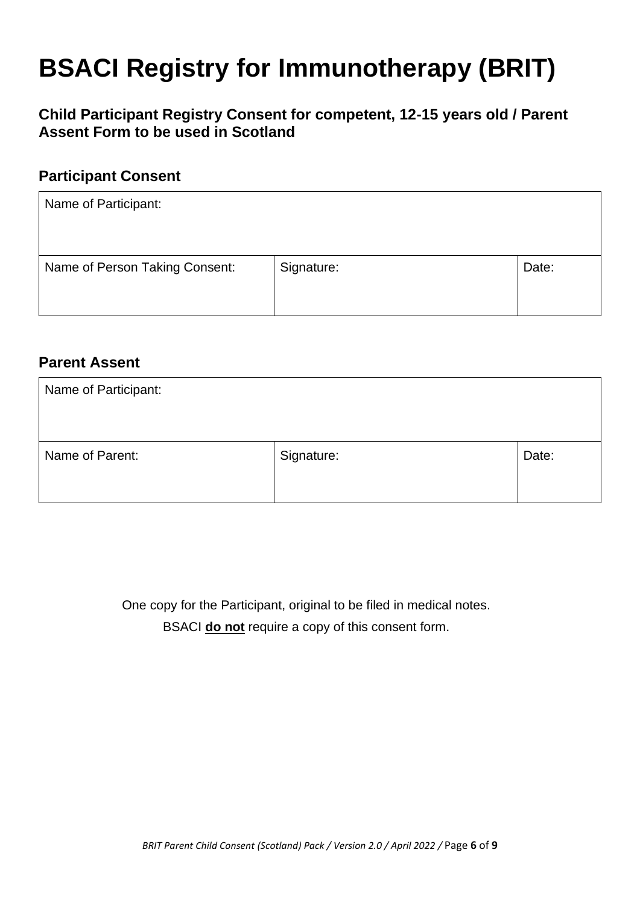## **Child Participant Registry Consent for competent, 12-15 years old / Parent Assent Form to be used in Scotland**

## **Participant Consent**

| Name of Participant:           |            |       |
|--------------------------------|------------|-------|
|                                |            |       |
| Name of Person Taking Consent: | Signature: | Date: |
|                                |            |       |

## **Parent Assent**

| Name of Participant: |            |       |
|----------------------|------------|-------|
| Name of Parent:      | Signature: | Date: |

One copy for the Participant, original to be filed in medical notes. BSACI **do not** require a copy of this consent form.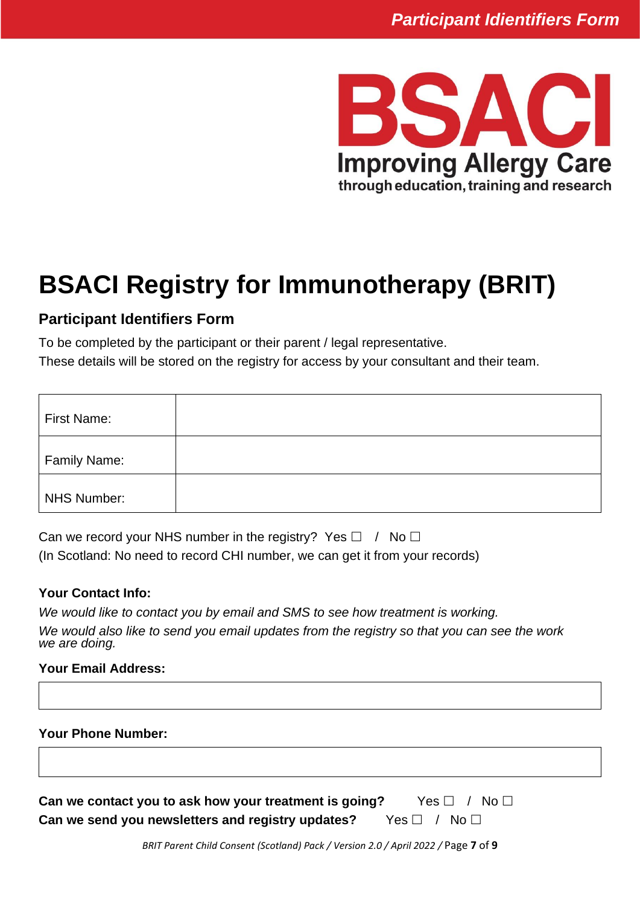

# **Participant Identifiers Form**

To be completed by the participant or their parent / legal representative. These details will be stored on the registry for access by your consultant and their team.

| First Name:         |  |
|---------------------|--|
| <b>Family Name:</b> |  |
| NHS Number:         |  |

Can we record your NHS number in the registry? Yes  $\Box$  / No  $\Box$ (In Scotland: No need to record CHI number, we can get it from your records)

## **Your Contact Info:**

*We would like to contact you by email and SMS to see how treatment is working. We would also like to send you email updates from the registry so that you can see the work we are doing.*

### **Your Email Address:**

### **Your Phone Number:**

| Can we contact you to ask how your treatment is going? | $Yes \Box / No \Box$   |
|--------------------------------------------------------|------------------------|
| Can we send you newsletters and registry updates?      | $Yes \Box$ / $No \Box$ |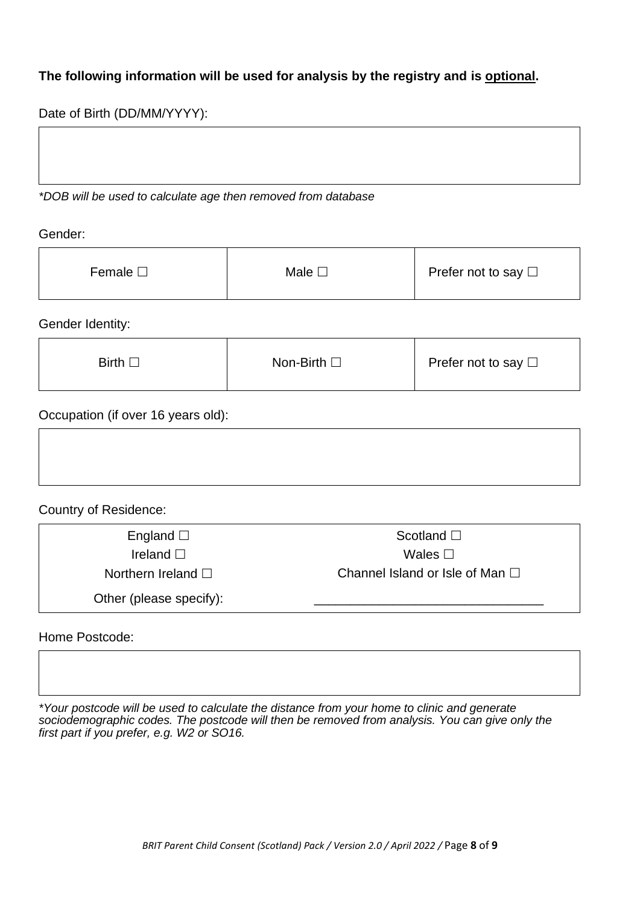## **The following information will be used for analysis by the registry and is optional.**

## Date of Birth (DD/MM/YYYY):

*\*DOB will be used to calculate age then removed from database*

Gender:

| Female $\square$ | Male $\square$ | Prefer not to say $\square$ |
|------------------|----------------|-----------------------------|
|                  |                |                             |

Gender Identity:

| Birth $\Box$ | Non-Birth $\square$ | Prefer not to say $\square$ |
|--------------|---------------------|-----------------------------|
|--------------|---------------------|-----------------------------|

Occupation (if over 16 years old):

| <b>Country of Residence:</b> |  |  |
|------------------------------|--|--|

| England $\square$          | Scotland $\square$                      |
|----------------------------|-----------------------------------------|
| Ireland $\square$          | Wales $\square$                         |
| Northern Ireland $\square$ | Channel Island or Isle of Man $\square$ |
| Other (please specify):    |                                         |
|                            |                                         |

Home Postcode:

*\*Your postcode will be used to calculate the distance from your home to clinic and generate sociodemographic codes. The postcode will then be removed from analysis. You can give only the first part if you prefer, e.g. W2 or SO16.*